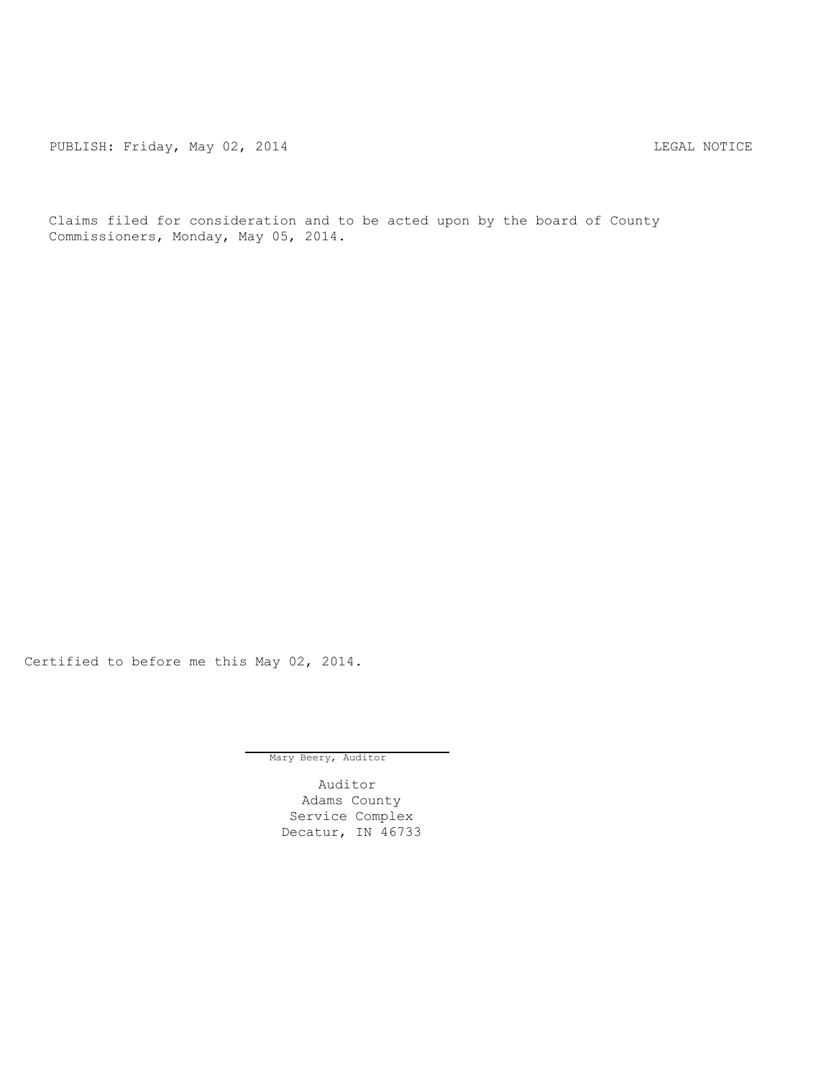PUBLISH: Friday, May 02, 2014 CHART CONSTRUCTED AND THE LEGAL NOTICE

Claims filed for consideration and to be acted upon by the board of County Commissioners, Monday, May 05, 2014.

Certified to before me this May 02, 2014.

Mary Beery, Auditor

Auditor Adams County Service Complex Decatur, IN 46733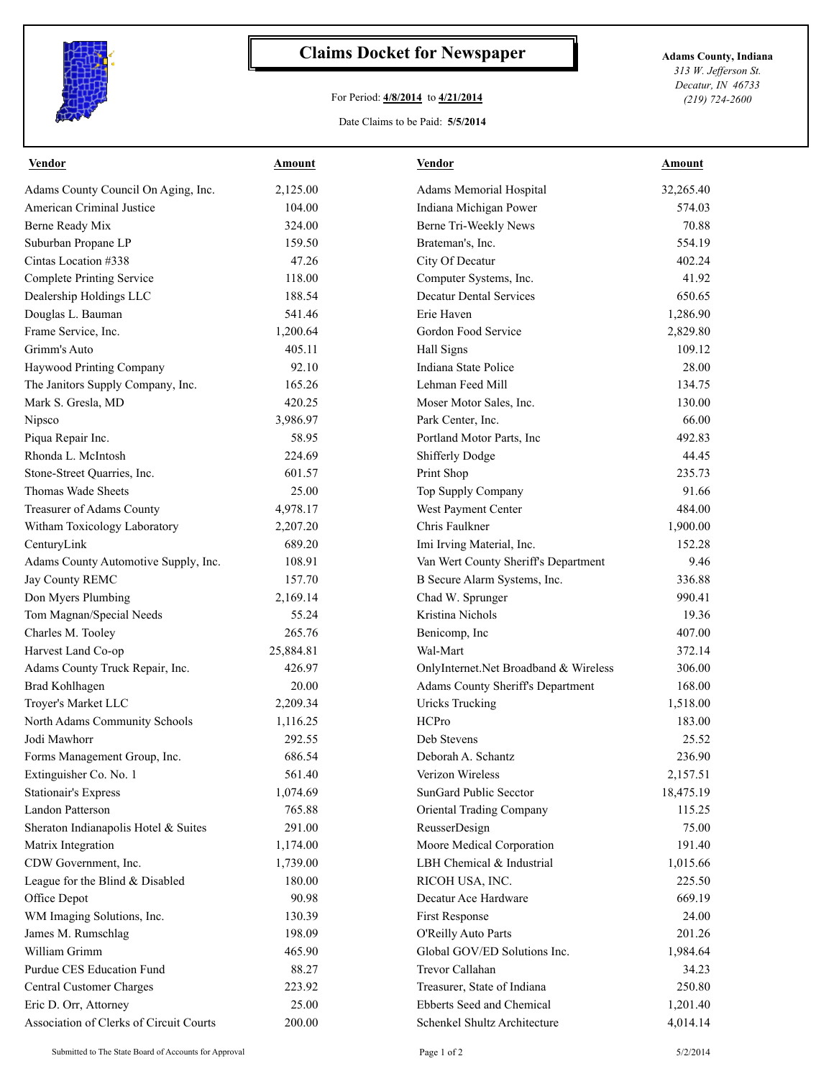

## **Claims Docket for Newspaper Adams County, Indiana**

## For Period: **4/8/2014** to **4/21/2014**

*313 W. Jefferson St. Decatur, IN 46733 (219) 724-2600*

## Date Claims to be Paid: **5/5/2014**

| <b>Vendor</b>                           | <b>Amount</b> | <b>Vendor</b>                         | <b>Amount</b> |
|-----------------------------------------|---------------|---------------------------------------|---------------|
| Adams County Council On Aging, Inc.     | 2,125.00      | Adams Memorial Hospital               | 32,265.40     |
| American Criminal Justice               | 104.00        | Indiana Michigan Power                | 574.03        |
| Berne Ready Mix                         | 324.00        | Berne Tri-Weekly News                 | 70.88         |
| Suburban Propane LP                     | 159.50        | Brateman's, Inc.                      | 554.19        |
| Cintas Location #338                    | 47.26         | City Of Decatur                       | 402.24        |
| <b>Complete Printing Service</b>        | 118.00        | Computer Systems, Inc.                | 41.92         |
| Dealership Holdings LLC                 | 188.54        | <b>Decatur Dental Services</b>        | 650.65        |
| Douglas L. Bauman                       | 541.46        | Erie Haven                            | 1,286.90      |
| Frame Service, Inc.                     | 1,200.64      | Gordon Food Service                   | 2,829.80      |
| Grimm's Auto                            | 405.11        | Hall Signs                            | 109.12        |
| Haywood Printing Company                | 92.10         | Indiana State Police                  | 28.00         |
| The Janitors Supply Company, Inc.       | 165.26        | Lehman Feed Mill                      | 134.75        |
| Mark S. Gresla, MD                      | 420.25        | Moser Motor Sales, Inc.               | 130.00        |
| Nipsco                                  | 3,986.97      | Park Center, Inc.                     | 66.00         |
| Piqua Repair Inc.                       | 58.95         | Portland Motor Parts, Inc.            | 492.83        |
| Rhonda L. McIntosh                      | 224.69        | <b>Shifferly Dodge</b>                | 44.45         |
| Stone-Street Quarries, Inc.             | 601.57        | Print Shop                            | 235.73        |
| Thomas Wade Sheets                      | 25.00         | Top Supply Company                    | 91.66         |
| Treasurer of Adams County               | 4,978.17      | West Payment Center                   | 484.00        |
| Witham Toxicology Laboratory            | 2,207.20      | Chris Faulkner                        | 1,900.00      |
| CenturyLink                             | 689.20        | Imi Irving Material, Inc.             | 152.28        |
| Adams County Automotive Supply, Inc.    | 108.91        | Van Wert County Sheriff's Department  | 9.46          |
| Jay County REMC                         | 157.70        | B Secure Alarm Systems, Inc.          | 336.88        |
| Don Myers Plumbing                      | 2,169.14      | Chad W. Sprunger                      | 990.41        |
| Tom Magnan/Special Needs                | 55.24         | Kristina Nichols                      | 19.36         |
| Charles M. Tooley                       | 265.76        | Benicomp, Inc                         | 407.00        |
| Harvest Land Co-op                      | 25,884.81     | Wal-Mart                              | 372.14        |
| Adams County Truck Repair, Inc.         | 426.97        | OnlyInternet.Net Broadband & Wireless | 306.00        |
| <b>Brad Kohlhagen</b>                   | 20.00         | Adams County Sheriff's Department     | 168.00        |
| Troyer's Market LLC                     | 2,209.34      | <b>Uricks Trucking</b>                | 1,518.00      |
| North Adams Community Schools           | 1,116.25      | HCPro                                 | 183.00        |
| Jodi Mawhorr                            | 292.55        | Deb Stevens                           | 25.52         |
| Forms Management Group, Inc.            | 686.54        | Deborah A. Schantz                    | 236.90        |
| Extinguisher Co. No. 1                  | 561.40        | Verizon Wireless                      | 2,157.51      |
| <b>Stationair's Express</b>             | 1,074.69      | SunGard Public Secctor                | 18,475.19     |
| Landon Patterson                        | 765.88        | Oriental Trading Company              | 115.25        |
| Sheraton Indianapolis Hotel & Suites    | 291.00        | ReusserDesign                         | 75.00         |
| Matrix Integration                      | 1,174.00      | Moore Medical Corporation             | 191.40        |
| CDW Government, Inc.                    | 1,739.00      | LBH Chemical & Industrial             | 1,015.66      |
| League for the Blind & Disabled         | 180.00        | RICOH USA, INC.                       | 225.50        |
| Office Depot                            | 90.98         | Decatur Ace Hardware                  | 669.19        |
| WM Imaging Solutions, Inc.              | 130.39        | First Response                        | 24.00         |
| James M. Rumschlag                      | 198.09        | O'Reilly Auto Parts                   | 201.26        |
| William Grimm                           | 465.90        | Global GOV/ED Solutions Inc.          | 1,984.64      |
| Purdue CES Education Fund               | 88.27         | Trevor Callahan                       | 34.23         |
| Central Customer Charges                | 223.92        | Treasurer, State of Indiana           | 250.80        |
| Eric D. Orr, Attorney                   | 25.00         | Ebberts Seed and Chemical             | 1,201.40      |
| Association of Clerks of Circuit Courts | 200.00        | Schenkel Shultz Architecture          | 4,014.14      |
|                                         |               |                                       |               |